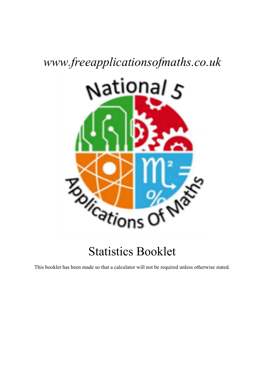# *www.freeapplicationsofmaths.co.uk*



This booklet has been made so that a calculator will not be required unless otherwise stated.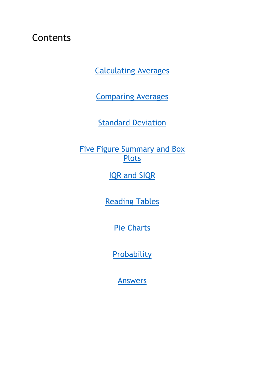## **Contents**

Calculating Averages

Comparing Averages

**Standard Deviation** 

**Five Figure Summary and Box Plots** 

IQR and SIQR

Reading Tables

Pie Charts

**Probability** 

Answers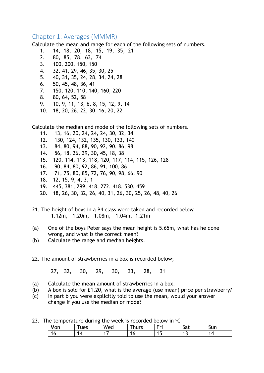### Chapter 1: Averages (MMMR)

Calculate the mean and range for each of the following sets of numbers.

- 1. 14, 18, 20, 18, 15, 19, 35, 21
- 2. 80, 85, 78, 63, 74
- 3. 100, 200, 150, 150
- 4. 32, 41, 29, 46, 35, 30, 25
- 5. 40, 31, 35, 24, 28, 34, 24, 28
- 6. 50, 45, 48, 36, 41
- 7. 150, 120, 110, 140, 160, 220
- 8. 80, 64, 52, 58
- 9. 10, 9, 11, 13, 6, 8, 15, 12, 9, 14
- 10. 18, 20, 26, 22, 30, 16, 20, 22

Calculate the median and mode of the following sets of numbers.

- 11. 13, 16, 20, 24, 24, 24, 30, 32, 34
- 12. 130, 124, 132, 135, 130, 133, 140
- 13. 84, 80, 94, 88, 90, 92, 90, 86, 98
- 14. 56, 18, 26, 39, 30, 45, 18, 38
- 15. 120, 114, 113, 118, 120, 117, 114, 115, 126, 128
- 16. 90, 84, 80, 92, 86, 91, 100, 86
- 17. 71, 75, 80, 85, 72, 76, 90, 98, 66, 90
- 18. 12, 15, 9, 4, 3, 1
- 19. 445, 381, 299, 418, 272, 418, 530, 459
- 20. 18, 26, 30, 32, 26, 40, 31, 26, 30, 25, 26, 48, 40, 26
- 21. The height of boys in a P4 class were taken and recorded below 1.12m, 1.20m, 1.08m, 1.04m, 1.21m
- (a) One of the boys Peter says the mean height is 5.65m, what has he done wrong, and what is the correct mean?
- (b) Calculate the range and median heights.
- 22. The amount of strawberries in a box is recorded below;

27, 32, 30, 29, 30, 33, 28, 31

- (a) Calculate the **mean** amount of strawberries in a box.
- (b) A box is sold for £1.20, what is the average (use mean) price per strawberry?
- (c) In part b you were explicitly told to use the mean, would your answer change if you use the median or mode?
- 23. The temperature during the week is recorded below in  $\mathrm{C}$

| Mon | ues | Wea | hurs | - .<br>l-ri | $\sim$ $\sim$<br>$\ddot{\phantom{1}}$<br>σαι | sun |
|-----|-----|-----|------|-------------|----------------------------------------------|-----|
|     | -   |     |      | . .         | . J                                          |     |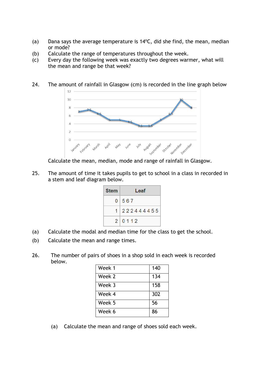- (a) Dana says the average temperature is  $14^{\circ}$ C, did she find, the mean, median or mode?
- (b) Calculate the range of temperatures throughout the week.
- (c) Every day the following week was exactly two degrees warmer, what will the mean and range be that week?
- 24. The amount of rainfall in Glasgow (cm) is recorded in the line graph below



Calculate the mean, median, mode and range of rainfall in Glasgow.

25. The amount of time it takes pupils to get to school in a class in recorded in a stem and leaf diagram below.

| <b>Stem</b> | Leaf                |  |  |  |  |
|-------------|---------------------|--|--|--|--|
|             | 0 567               |  |  |  |  |
|             | 1 2 2 2 4 4 4 4 5 5 |  |  |  |  |
|             | 2 0112              |  |  |  |  |

- (a) Calculate the modal and median time for the class to get the school.
- (b) Calculate the mean and range times.
- 26. The number of pairs of shoes in a shop sold in each week is recorded below.

| Week 1 | 140 |
|--------|-----|
| Week 2 | 134 |
| Week 3 | 158 |
| Week 4 | 302 |
| Week 5 | 56  |
| Week 6 | 86  |

(a) Calculate the mean and range of shoes sold each week.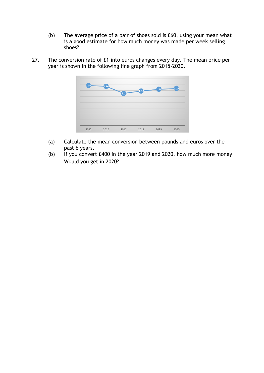- (b) The average price of a pair of shoes sold is £60, using your mean what is a good estimate for how much money was made per week selling shoes?
- 27. The conversion rate of £1 into euros changes every day. The mean price per year is shown in the following line graph from 2015-2020.



- (a) Calculate the mean conversion between pounds and euros over the past 6 years.
- (b) If you convert £400 in the year 2019 and 2020, how much more money Would you get in 2020?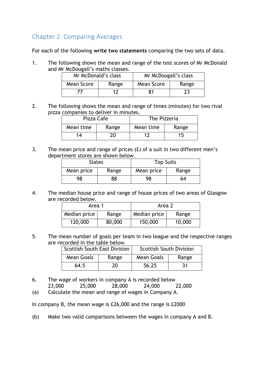## Chapter 2: Comparing Averages

For each of the following **write two statements** comparing the two sets of data.

1. The following shows the mean and range of the test scores of Mr McDonald and Mr McDougall's maths classes.

| Mr McDonald's class |       | Mr McDougall's class |    |  |
|---------------------|-------|----------------------|----|--|
| Mean Score          | Range | Mean Score<br>Range  |    |  |
|                     |       |                      | 23 |  |

2. The following shows the mean and range of times (minutes) for two rival pizza companies to deliver in minutes.

| Pizza Cafe |       | The Pizzeria |       |  |
|------------|-------|--------------|-------|--|
| Mean time  | Range | Mean time    | Range |  |
| 14         |       |              | ר!    |  |

3. The mean price and range of prices  $(E)$  of a suit in two different men's department stores are shown below.

| <b>Slates</b> |       | <b>Top Suits</b> |       |  |
|---------------|-------|------------------|-------|--|
| Mean price    | Range | Mean price       | Range |  |
| 98            | 38    | 98               | 64    |  |

4. The median house price and range of house prices of two areas of Glasgow are recorded below.

| Area 1       |        | Area 2       |        |  |
|--------------|--------|--------------|--------|--|
| Median price | Range  | Median price | Range  |  |
| 120,000      | 80,000 | 150,000      | 10,000 |  |

5. The mean number of goals per team in two league and the respective ranges are recorded in the table below.

| <b>Scottish South East Division</b> |       | <b>Scottish South Division</b> |       |  |
|-------------------------------------|-------|--------------------------------|-------|--|
| Mean Goals                          | Range | Mean Goals                     | Range |  |
| 64.5                                | 20.   | 56.25                          | 31    |  |

- 6. The wage of workers in company A is recorded below
- 23,000 25,000 28,000 24,000 22,000
- (a) Calculate the mean and range of wages in Company A.

In company B, the mean wage is £26,000 and the range is £2000

(b) Make two valid comparisons between the wages in company A and B.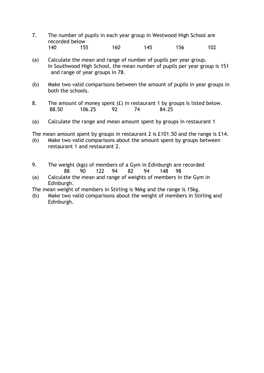- 7. The number of pupils in each year group in Westwood High School are recorded below 140 155 160 145 156 102
- (a) Calculate the mean and range of number of pupils per year group. In Southwood High School, the mean number of pupils per year group is 151 and range of year groups in 78.
- (b) Make two valid comparisons between the amount of pupils in year groups in both the schools.
- 8. The amount of money spent  $(E)$  in restaurant 1 by groups is listed below. 88.50 106.25 92 74 84.25
- (a) Calculate the range and mean amount spent by groups in restaurant 1

The mean amount spent by groups in restaurant 2 is £101.50 and the range is £14.

- (b) Make two valid comparisons about the amount spent by groups between restaurant 1 and restaurant 2.
- 9. The weight (kgs) of members of a Gym in Edinburgh are recorded 88 90 122 94 82 94 148 98
- (a) Calculate the mean and range of weights of members in the Gym in Edinburgh.

The mean weight of members in Stirling is 96kg and the range is 15kg.

(b) Make two valid comparisons about the weight of members in Stirling and Edinburgh.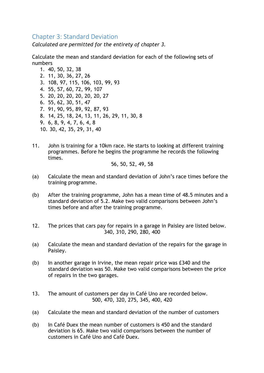## Chapter 3: Standard Deviation

*Calculated are permitted for the entirety of chapter 3.*

Calculate the mean and standard deviation for each of the following sets of numbers

- 1. 40, 50, 32, 38 2. 11, 30, 36, 27, 26 3. 108, 97, 115, 106, 103, 99, 93 4. 55, 57, 60, 72, 99, 107 5. 20, 20, 20, 20, 20, 20, 27 6. 55, 62, 30, 51, 47 7. 91, 90, 95, 89, 92, 87, 93 8. 14, 25, 18, 24, 13, 11, 26, 29, 11, 30, 8 9. 6, 8, 9, 4, 7, 6, 4, 8 10. 30, 42, 35, 29, 31, 40
- 11. John is training for a 10km race. He starts to looking at different training programmes. Before he begins the programme he records the following times.

56, 50, 52, 49, 58

- (a) Calculate the mean and standard deviation of John's race times before the training programme.
- (b) After the training programme, John has a mean time of 48.5 minutes and a standard deviation of 5.2. Make two valid comparisons between John's times before and after the training programme.
- 12. The prices that cars pay for repairs in a garage in Paisley are listed below. 340, 310, 290, 280, 400
- (a) Calculate the mean and standard deviation of the repairs for the garage in Paisley.
- (b) In another garage in Irvine, the mean repair price was £340 and the standard deviation was 50. Make two valid comparisons between the price of repairs in the two garages.
- 13. The amount of customers per day in Café Uno are recorded below. 500, 470, 320, 275, 345, 400, 420
- (a) Calculate the mean and standard deviation of the number of customers
- (b) In Café Duex the mean number of customers is 450 and the standard deviation is 65. Make two valid comparisons between the number of customers in Café Uno and Café Duex.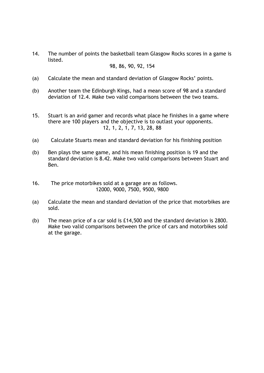14. The number of points the basketball team Glasgow Rocks scores in a game is listed.

#### 98, 86, 90, 92, 154

- (a) Calculate the mean and standard deviation of Glasgow Rocks' points.
- (b) Another team the Edinburgh Kings, had a mean score of 98 and a standard deviation of 12.4. Make two valid comparisons between the two teams.
- 15. Stuart is an avid gamer and records what place he finishes in a game where there are 100 players and the objective is to outlast your opponents. 12, 1, 2, 1, 7, 13, 28, 88
- (a) Calculate Stuarts mean and standard deviation for his finishing position
- (b) Ben plays the same game, and his mean finishing position is 19 and the standard deviation is 8.42. Make two valid comparisons between Stuart and Ben.
- 16. The price motorbikes sold at a garage are as follows. 12000, 9000, 7500, 9500, 9800
- (a) Calculate the mean and standard deviation of the price that motorbikes are sold.
- (b) The mean price of a car sold is £14,500 and the standard deviation is 2800. Make two valid comparisons between the price of cars and motorbikes sold at the garage.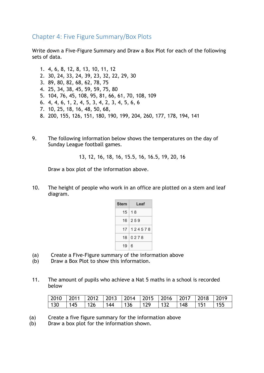Chapter 4: Five Figure Summary/Box Plots

Write down a Five-Figure Summary and Draw a Box Plot for each of the following sets of data.

1. 4, 6, 8, 12, 8, 13, 10, 11, 12 2. 30, 24, 33, 24, 39, 23, 32, 22, 29, 30 3. 89, 80, 82, 68, 62, 78, 75 4. 25, 34, 38, 45, 59, 59, 75, 80 5. 104, 76, 45, 108, 95, 81, 66, 61, 70, 108, 109 6. 4, 4, 6, 1, 2, 4, 5, 3, 4, 2, 3, 4, 5, 6, 6 7. 10, 25, 18, 16, 48, 50, 68, 8. 200, 155, 126, 151, 180, 190, 199, 204, 260, 177, 178, 194, 141

9. The following information below shows the temperatures on the day of Sunday League football games.

13, 12, 16, 18, 16, 15.5, 16, 16.5, 19, 20, 16

Draw a box plot of the information above.

10. The height of people who work in an office are plotted on a stem and leaf diagram.

| <b>Stem</b> | Leaf             |
|-------------|------------------|
|             | $15 \mid 18$     |
|             | $16 \mid 259$    |
|             | 17   1 2 4 5 7 8 |
|             | 18 0 2 7 8       |
| $19 \mid 6$ |                  |

- (a) Create a Five-Figure summary of the information above
- (b) Draw a Box Plot to show this information.
- 11. The amount of pupils who achieve a Nat 5 maths in a school is recorded below

|  | 2010   2011   2012   2013   2014   2015   2016   2017   2018   2019 |  |                               |  |  |
|--|---------------------------------------------------------------------|--|-------------------------------|--|--|
|  | 130   145   126   144   136   129                                   |  | $\vert$ 132   148   151   155 |  |  |

- (a) Create a five figure summary for the information above
- (b) Draw a box plot for the information shown.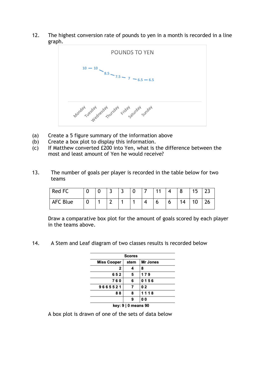12. The highest conversion rate of pounds to yen in a month is recorded in a line graph.



- (a) Create a 5 figure summary of the information above
- (b) Create a box plot to display this information.
- (c) If Matthew converted £200 into Yen, what is the difference between the most and least amount of Yen he would receive?
- 13. The number of goals per player is recorded in the table below for two teams

| Red FC   |  | ∽<br>سه | $\overline{\phantom{0}}$<br>- | U | -4.4 |   | ິດ | 15  | $\sim$       |
|----------|--|---------|-------------------------------|---|------|---|----|-----|--------------|
| AFC Blue |  | ∽       |                               |   | O    | O | 14 | 1 N | $\mathbf{A}$ |

Draw a comparative box plot for the amount of goals scored by each player in the teams above.

14. A Stem and Leaf diagram of two classes results is recorded below

|                    | <b>Scores</b>       |                |  |  |  |  |  |  |
|--------------------|---------------------|----------------|--|--|--|--|--|--|
| <b>Miss Cooper</b> | stem                | Mr Jones       |  |  |  |  |  |  |
| 2                  | 4                   | 8              |  |  |  |  |  |  |
| 652                | 5                   | 179            |  |  |  |  |  |  |
| 760                | 6                   | 0156           |  |  |  |  |  |  |
| 9665521            | 7                   | 02             |  |  |  |  |  |  |
| 88                 | 8                   | 1118           |  |  |  |  |  |  |
|                    | 9                   | 0 <sub>0</sub> |  |  |  |  |  |  |
|                    | key: 9   0 means 90 |                |  |  |  |  |  |  |

A box plot is drawn of one of the sets of data below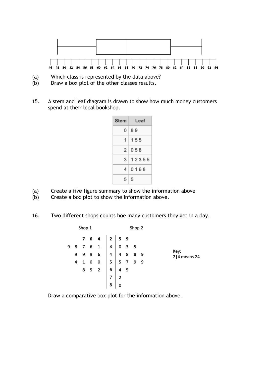

- (a) Which class is represented by the data above?
- (b) Draw a box plot of the other classes results.
- 15. A stem and leaf diagram is drawn to show how much money customers spend at their local bookshop.

| <b>Stem</b> | Leaf        |
|-------------|-------------|
|             | $0$   8 $9$ |
|             | 1   1 5 5   |
|             | 2 058       |
|             | 3 1 2 3 5 5 |
|             | 40168       |
| $5 \mid 5$  |             |

- (a) Create a five figure summary to show the information above
- (b) Create a box plot to show the information above.
- 16. Two different shops counts hoe many customers they get in a day.

|   |   | Shop 1      |                                                                                                                                                    |   |           | Shop 2 |   |                        |
|---|---|-------------|----------------------------------------------------------------------------------------------------------------------------------------------------|---|-----------|--------|---|------------------------|
|   |   |             |                                                                                                                                                    |   |           |        |   |                        |
| 9 |   |             | $\begin{array}{c c c c c c c c c} \n7 & 6 & 4 & 2 & 5 & 9 \\ \n8 & 7 & 6 & 1 & 3 & 0 & 3 & 5 \\ \n9 & 9 & 9 & 6 & 4 & 4 & 8 & 8 & 9 \n\end{array}$ |   |           |        |   |                        |
|   |   |             |                                                                                                                                                    |   |           |        |   | Key:<br>$2 4$ means 24 |
|   | 4 | $1 \quad 0$ | $0 \mid 5 \mid 5 \mid 7 \mid 9$                                                                                                                    |   |           |        | 9 |                        |
|   |   |             | $8$ 5 2 6 4 5                                                                                                                                      |   |           |        |   |                        |
|   |   |             |                                                                                                                                                    |   | $\vert$ 2 |        |   |                        |
|   |   |             |                                                                                                                                                    | 8 |           |        |   |                        |

Draw a comparative box plot for the information above.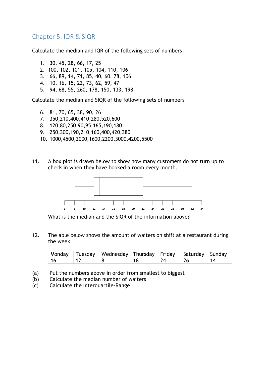## Chapter 5: IQR & SIQR

Calculate the median and IQR of the following sets of numbers

1. 30, 45, 28, 66, 17, 25 2. 100, 102, 101, 105, 104, 110, 106 3. 66, 89, 14, 71, 85, 40, 60, 78, 106 4. 10, 16, 15, 22, 73, 62, 59, 47 5. 94, 68, 55, 260, 178, 150, 133, 198

Calculate the median and SIQR of the following sets of numbers

- 6. 81, 70, 65, 38, 90, 26
- 7. 350,210,400,410,280,520,600
- 8. 120,80,250,90,95,165,190,180
- 9. 250,300,190,210,160,400,420,380
- 10. 1000,4500,2000,1600,2200,3000,4200,5500
- 11. A box plot is drawn below to show how many customers do not turn up to check in when they have booked a room every month.



What is the median and the SIQR of the information above?

12. The able below shows the amount of waiters on shift at a restaurant during the week

|  | Monday Tuesday   Wednesday   Thursday   Friday   Saturday   Sunday |  |  |
|--|--------------------------------------------------------------------|--|--|
|  |                                                                    |  |  |

- (a) Put the numbers above in order from smallest to biggest
- (b) Calculate the median number of waiters
- (c) Calculate the Interquartile-Range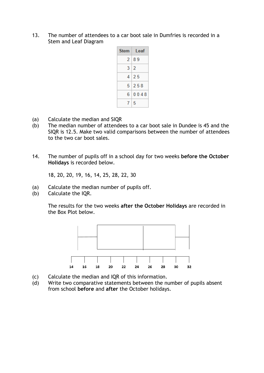13. The number of attendees to a car boot sale in Dumfries is recorded in a Stem and Leaf Diagram

| <b>Stem</b> | ∣ Leaf |
|-------------|--------|
|             | 2189   |
|             | 3 2    |
|             | 4125   |
|             | 51258  |
|             | 60048  |
| $\tau$      | 5      |

- (a) Calculate the median and SIQR
- (b) The median number of attendees to a car boot sale in Dundee is 45 and the SIQR is 12.5. Make two valid comparisons between the number of attendees to the two car boot sales.
- 14. The number of pupils off in a school day for two weeks **before the October Holidays** is recorded below.

18, 20, 20, 19, 16, 14, 25, 28, 22, 30

- (a) Calculate the median number of pupils off.
- (b) Calculate the IQR.

The results for the two weeks **after the October Holidays** are recorded in the Box Plot below.



- (c) Calculate the median and IQR of this information.
- (d) Write two comparative statements between the number of pupils absent from school **before** and **after** the October holidays.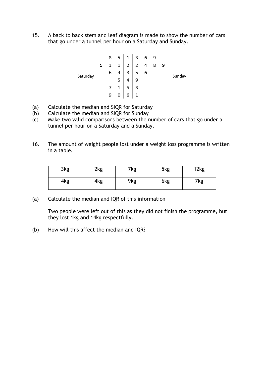15. A back to back stem and leaf diagram is made to show the number of cars that go under a tunnel per hour on a Saturday and Sunday.

- (a) Calculate the median and SIQR for Saturday
- (b) Calculate the median and SIQR for Sunday
- (c) Make two valid comparisons between the number of cars that go under a tunnel per hour on a Saturday and a Sunday.
- 16. The amount of weight people lost under a weight loss programme is written in a table.

| 3kg | 2kg | 7kg | 5kg | 12kg |
|-----|-----|-----|-----|------|
| 4kg | 4kg | 9kg | 6kg | 7kg  |

(a) Calculate the median and IQR of this information

Two people were left out of this as they did not finish the programme, but they lost 1kg and 14kg respectfully.

(b) How will this affect the median and IQR?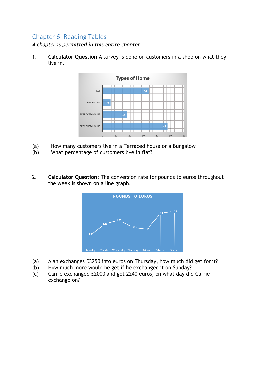## Chapter 6: Reading Tables

*A chapter is permitted in this entire chapter*

1. **Calculator Question** A survey is done on customers in a shop on what they live in.



- (a) How many customers live in a Terraced house or a Bungalow
- (b) What percentage of customers live in flat?
- 2. **Calculator Question:** The conversion rate for pounds to euros throughout the week is shown on a line graph.



- (a) Alan exchanges £3250 into euros on Thursday, how much did get for it?
- (b) How much more would he get if he exchanged it on Sunday?
- (c) Carrie exchanged £2000 and got 2240 euros, on what day did Carrie exchange on?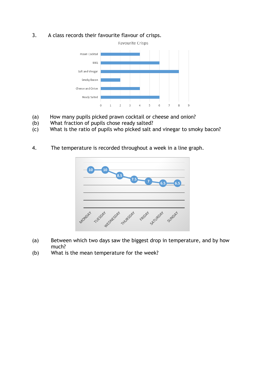3. A class records their favourite flavour of crisps.



- (a) How many pupils picked prawn cocktail or cheese and onion?
- (b) What fraction of pupils chose ready salted?
- $(c)$  What is the ratio of pupils who picked salt and vinegar to smoky bacon?
- 4. The temperature is recorded throughout a week in a line graph.



- (a) Between which two days saw the biggest drop in temperature, and by how much?
- (b) What is the mean temperature for the week?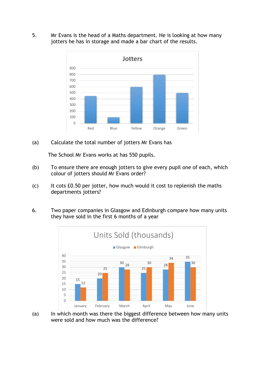5. Mr Evans is the head of a Maths department. He is looking at how many jotters he has in storage and made a bar chart of the results.



(a) Calculate the total number of jotters Mr Evans has

The School Mr Evans works at has 550 pupils.

- (b) To ensure there are enough jotters to give every pupil one of each, which colour of jotters should Mr Evans order?
- (c) It cots £0.50 per jotter, how much would it cost to replenish the maths departments jotters?
- 6. Two paper companies in Glasgow and Edinburgh compare how many units they have sold in the first 6 months of a year



(a) In which month was there the biggest difference between how many units were sold and how much was the difference?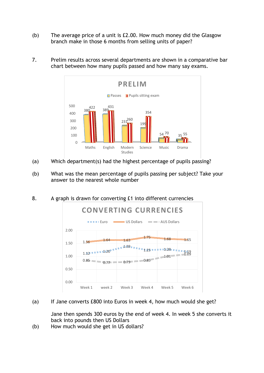(b) The average price of a unit is £2.00. How much money did the Glasgow branch make in those 6 months from selling units of paper?



7. Prelim results across several departments are shown in a comparative bar chart between how many pupils passed and how many say exams.

- (a) Which department(s) had the highest percentage of pupils passing?
- (b) What was the mean percentage of pupils passing per subject? Take your answer to the nearest whole number
- 8. A graph is drawn for converting £1 into different currencies



(a) If Jane converts £800 into Euros in week 4, how much would she get?

Jane then spends 300 euros by the end of week 4. In week 5 she converts it back into pounds then US Dollars

(b) How much would she get in US dollars?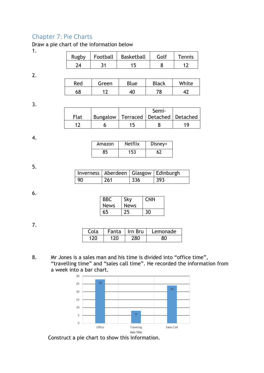## Chapter 7: Pie Charts

Draw a pie chart of the information below

1.

| Rugby | Football   Basketball | Golf | Tennis |
|-------|-----------------------|------|--------|
|       |                       |      |        |

2.

| Red | Green                    | Blue | <b>Black</b> | White |
|-----|--------------------------|------|--------------|-------|
| 68  | $\overline{\phantom{a}}$ |      | 70           |       |

3.

|      |  | Semi-                                     |  |
|------|--|-------------------------------------------|--|
| Flat |  | Bungalow   Terraced   Detached   Detached |  |
|      |  |                                           |  |

4.

| Amazon | <b>Netflix</b> | Disney+ |
|--------|----------------|---------|
|        | 153            |         |

5.

|    | Inverness   Aberdeen   Glasgow   Edinburgh |     |     |
|----|--------------------------------------------|-----|-----|
| 90 | 261                                        | 336 | 393 |

#### 6.

| <b>BBC</b><br><b>News</b> | Sky<br><b>News</b> | <b>CNN</b> |
|---------------------------|--------------------|------------|
| 65                        | 25                 | 30         |

7.

| Cola | Fanta   Irn Bru | Lemonade |
|------|-----------------|----------|
|      |                 |          |

8. Mr Jones is a sales man and his time is divided into "office time", "travelling time" and "sales call time". He recorded the information from a week into a bar chart.



Construct a pie chart to show this information.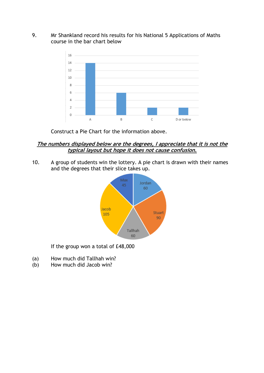#### 9. Mr Shankland record his results for his National 5 Applications of Maths course in the bar chart below



Construct a Pie Chart for the information above.

#### **The numbers displayed below are the degrees, I appreciate that it is not the typical layout but hope it does not cause confusion.**

10. A group of students win the lottery. A pie chart is drawn with their names and the degrees that their slice takes up.



If the group won a total of £48,000

- (a) How much did Tallhah win?
- (b) How much did Jacob win?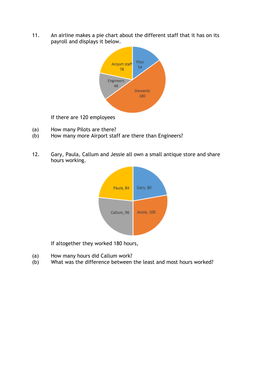11. An airline makes a pie chart about the different staff that it has on its payroll and displays it below.



If there are 120 employees

- (a) How many Pilots are there?
- (b) How many more Airport staff are there than Engineers?
- 12. Gary, Paula, Callum and Jessie all own a small antique store and share hours working.



If altogether they worked 180 hours,

- (a) How many hours did Callum work?
- (b) What was the difference between the least and most hours worked?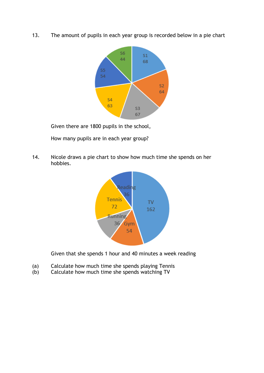13. The amount of pupils in each year group is recorded below in a pie chart



Given there are 1800 pupils in the school,

How many pupils are in each year group?

14. Nicole draws a pie chart to show how much time she spends on her hobbies.



Given that she spends 1 hour and 40 minutes a week reading

- (a) Calculate how much time she spends playing Tennis
- (b) Calculate how much time she spends watching TV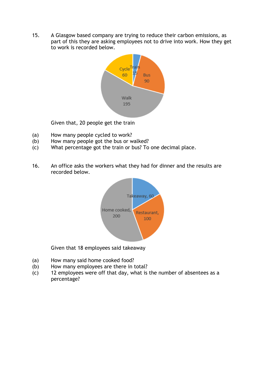15. A Glasgow based company are trying to reduce their carbon emissions, as part of this they are asking employees not to drive into work. How they get to work is recorded below.



Given that, 20 people get the train

- (a) How many people cycled to work?
- (b) How many people got the bus or walked?
- (c) What percentage got the train or bus? To one decimal place.
- 16. An office asks the workers what they had for dinner and the results are recorded below.



Given that 18 employees said takeaway

- (a) How many said home cooked food?
- (b) How many employees are there in total?
- (c) 12 employees were off that day, what is the number of absentees as a percentage?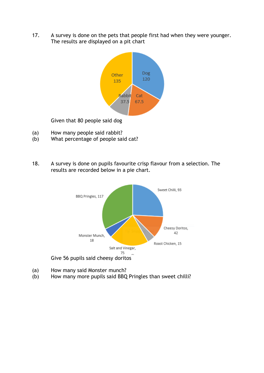17. A survey is done on the pets that people first had when they were younger. The results are displayed on a pit chart



Given that 80 people said dog

- (a) How many people said rabbit?
- (b) What percentage of people said cat?
- 18. A survey is done on pupils favourite crisp flavour from a selection. The results are recorded below in a pie chart.



- (a) How many said Monster munch?
- (b) How many more pupils said BBQ Pringles than sweet chilli?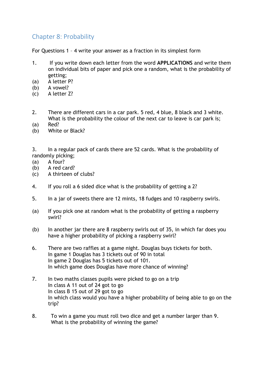## Chapter 8: Probability

For Questions 1 – 4 write your answer as a fraction in its simplest form

- 1. If you write down each letter from the word **APPLICATIONS** and write them on individual bits of paper and pick one a random, what is the probability of getting;
- (a) A letter P?
- (b) A vowel?
- (c) A letter Z?
- 2. There are different cars in a car park. 5 red, 4 blue, 8 black and 3 white. What is the probability the colour of the next car to leave is car park is;
- (a) Red?
- (b) White or Black?

3. In a regular pack of cards there are 52 cards. What is the probability of randomly picking;

- (a) A four?
- (b) A red card?
- (c) A thirteen of clubs?
- 4. If you roll a 6 sided dice what is the probability of getting a 2?
- 5. In a jar of sweets there are 12 mints, 18 fudges and 10 raspberry swirls.
- (a) If you pick one at random what is the probability of getting a raspberry swirl?
- (b) In another jar there are 8 raspberry swirls out of 35, in which far does you have a higher probability of picking a raspberry swirl?
- 6. There are two raffles at a game night. Douglas buys tickets for both. In game 1 Douglas has 3 tickets out of 90 in total In game 2 Douglas has 5 tickets out of 101. In which game does Douglas have more chance of winning?
- 7. In two maths classes pupils were picked to go on a trip In class A 11 out of 24 got to go In class B 15 out of 29 got to go In which class would you have a higher probability of being able to go on the trip?
- 8. To win a game you must roll two dice and get a number larger than 9. What is the probability of winning the game?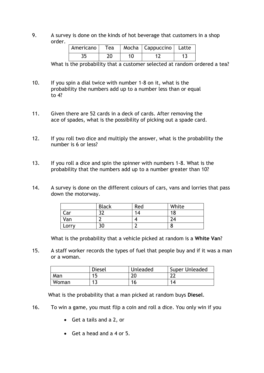9. A survey is done on the kinds of hot beverage that customers in a shop order.

|  |  | Americano   Tea   Mocha   Cappuccino   Latte |  |
|--|--|----------------------------------------------|--|
|  |  |                                              |  |

What is the probability that a customer selected at random ordered a tea?

- 10. If you spin a dial twice with number 1-8 on it, what is the probability the numbers add up to a number less than or equal to 4?
- 11. Given there are 52 cards in a deck of cards. After removing the ace of spades, what is the possibility of picking out a spade card.
- 12. If you roll two dice and multiply the answer, what is the probability the number is 6 or less?
- 13. If you roll a dice and spin the spinner with numbers 1-8. What is the probability that the numbers add up to a number greater than 10?
- 14. A survey is done on the different colours of cars, vans and lorries that pass down the motorway.

|       | <b>Black</b> | Red | White |
|-------|--------------|-----|-------|
| ar    | ົ            | 14  | 18    |
| Van   | ∽            |     | 24    |
| Lorry | 30           |     | о     |

What is the probability that a vehicle picked at random is a **White Van**?

15. A staff worker records the types of fuel that people buy and if it was a man or a woman.

|       | Diesel | Unleaded | Super Unleaded |
|-------|--------|----------|----------------|
| Man   | 15     | 20       | ົາາ<br>$-$     |
| Woman | 12     | 16       | 14             |

What is the probability that a man picked at random buys **Diesel**.

- 16. To win a game, you must flip a coin and roll a dice. You only win if you
	- Get a tails and a 2, or
	- Get a head and a 4 or 5.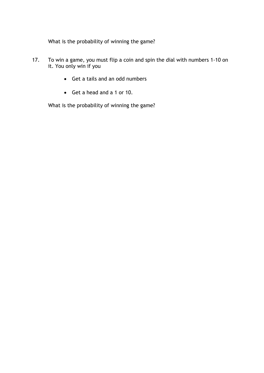What is the probability of winning the game?

- 17. To win a game, you must flip a coin and spin the dial with numbers 1-10 on it. You only win if you
	- Get a tails and an odd numbers
	- Get a head and a 1 or 10.

What is the probability of winning the game?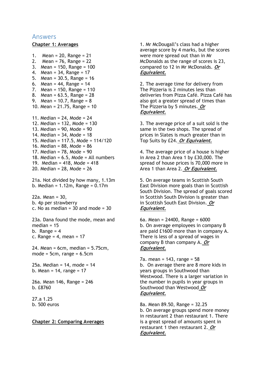#### Answers

#### **Chapter 1: Averages**

```
1. Mean = 20, Range = 21
2. Mean = 76, Range = 22
3. Mean = 150, Range = 100
4. Mean = 34, Range = 17
5. Mean = 30.5, Range = 16
6. Mean = 44, Range = 147. Mean = 150, Range = 110
8. Mean = 63.5, Range = 28
9. Mean = 10.7, Range = 8
10. Mean = 21.75, Range = 10
11. Median = 24, Mode = 24
12. Median = 132, Mode = 130
13. Median = 90, Mode = 90
14. Median = 34, Mode = 18
15. Median = 117.5, Mode = 114/120
16. Median = 88, Mode = 86
17. Median = 78, Mode = 90
18. Median = 6.5, Mode = All numbers
19. Median = 418, Mode = 418
20. Median = 28, Mode = 26
21a. Not divided by how many, 1.13m
b. Median = 1.12m, Range = 0.17m22a. Mean = 30,
b. 4p per strawberry
c. No as median = 30 and mode = 3023a. Dana found the mode, mean and 
median = 15
b. Range = 4c. Range = 4, mean = 1724. Mean = 6cm, median = 5.75cm, 
mode = 5cm, range = 6.5cm
```
25a. Median = 14, mode = 14 b. Mean =  $14$ , range =  $17$ 

26a. Mean 146, Range = 246 b. £8760

27.a 1.25 b. 500 euros

**Chapter 2: Comparing Averages**

1. Mr McDougall's class had a higher average score by 4 marks, but the scores were more spread out than in Mr McDonalds as the range of scores is 23, compared to 12 in Mr McDonalds. **Or Equivalent.**

2. The average time for delivery from The Pizzeria is 2 minutes less than deliveries from Pizza Café. Pizza Café has also got a greater spread of times than The Pizzeria by 5 minutes. **Or Equivalent.**

3. The average price of a suit sold is the same in the two shops. The spread of prices in Slates is much greater than in Top Suits by £24. **Or Equivalent.**

4. The average price of a house is higher in Area 2 than Area 1 by £30,000. The spread of house prices is 70,000 more in Area 1 than Area 2. **Or Equivalent.**

5. On average teams in Scottish South East Division more goals than in Scottish South Division. The spread of goals scored in Scottish South Division is greater than in Scottish South East Division. **Or Equivalent.**

6a. Mean = 24400, Range = 6000 b. On average employees in company B are paid £1600 more than in company A. There is less of a spread of wages in company B than company A. **Or Equivalent.**

7a. mean = 143, range = 58 b. On average there are 8 more kids in years groups in Southwood than Westwood. There is a larger variation in the number in pupils in year groups in Southwood than Westwood **Or Equivalent.**

8a. Mean 89.50, Range = 32.25 b. On average groups spend more money in restaurant 2 than restaurant 1. There is a great spread of amounts spent in restaurant 1 then restaurant 2. **Or Equivalent.**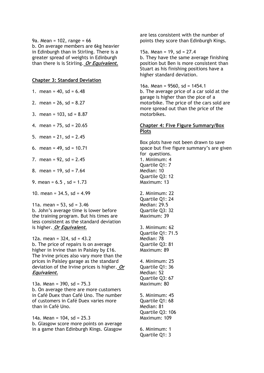9a. Mean = 102, range = 66 b. On average members are 6kg heavier in Edinburgh than in Stirling. There is a greater spread of weights in Edinburgh than there is is Stirling. **Or Equivalent.**

#### **Chapter 3: Standard Deviation**

- 1. mean =  $40$ , sd =  $6.48$
- 2. mean =  $26$ , sd =  $8.27$
- 3. mean = 103, sd = 8.87
- 4. mean = 75, sd = 20.65
- 5. mean =  $21$ , sd =  $2.45$
- 6. mean =  $49$ , sd =  $10.71$
- 7. mean =  $92$ , sd =  $2.45$
- 8. mean = 19, sd = 7.64
- 9. mean =  $6.5$ , sd =  $1.73$
- 10. mean =  $34.5$ , sd =  $4.99$

11a. mean =  $53$ , sd =  $3.46$ b. John's average time is lower before the training program. But his times are less consistent as the standard deviation

is higher. **Or Equivalent.**

12a. mean =  $324$ , sd =  $43.2$ b. The price of repairs is on average higher in Irvine than in Paisley by £16. The Irvine prices also vary more than the prices in Paisley garage as the standard deviation of the Irvine prices is higher. **Or Equivalent.**

13a. Mean = 390, sd = 75.3 b. On average there are more customers in Café Duex than Café Uno. The number of customers in Café Duex varies more than in Café Uno.

14a. Mean =  $104$ , sd =  $25.3$ b. Glasgow score more points on average in a game than Edinburgh Kings. Glasgow are less consistent with the number of points they score than Edinburgh Kings.

15a. Mean = 19, sd = 27.4

b. They have the same average finishing position but Ben is more consistent than Stuart as his finishing positions have a higher standard deviation.

16a. Mean =  $9560$ , sd =  $1454.1$ b. The average price of a car sold at the garage is higher than the pice of a motorbike. The price of the cars sold are more spread out than the price of the motorbikes.

#### **Chapter 4: Five Figure Summary/Box Plots**

Box plots have not been drawn to save space but five figure summary's are given for questions. 1. Minimum: 4 Quartile Q1: 7 Median: 10 Quartile Q3: 12 Maximum: 13 2. Minimum: 22 Quartile Q1: 24 Median: 29.5 Quartile Q3: 32 Maximum: 39 3. Minimum: 62 Quartile Q1: 71.5 Median: 78 Quartile Q3: 81 Maximum: 89 4. Minimum: 25 Quartile Q1: 36 Median: 52 Quartile Q3: 67 Maximum: 80

5. Minimum: 45 Quartile Q1: 68 Median: 81 Quartile Q3: 106 Maximum: 109

6. Minimum: 1 Quartile Q1: 3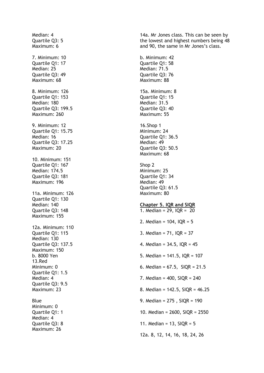Median: 4 Quartile Q3: 5 Maximum: 6 7. Minimum: 10 Quartile Q1: 17 Median: 25 Quartile Q3: 49 Maximum: 68 8. Minimum: 126 Quartile Q1: 153 Median: 180 Quartile Q3: 199.5 Maximum: 260 9. Minimum: 12 Quartile Q1: 15.75 Median: 16 Quartile Q3: 17.25 Maximum: 20 10. Minimum: 151 Quartile Q1: 167 Median: 174.5 Quartile Q3: 181 Maximum: 196 11a. Minimum: 126 Quartile Q1: 130 Median: 140 Quartile Q3: 148 Maximum: 155 12a. Minimum: 110 Quartile Q1: 115 Median: 130 Quartile Q3: 137.5 Maximum: 150 b. 8000 Yen 13.Red Minimum: 0 Quartile Q1: 1.5 Median: 4 Quartile Q3: 9.5 Maximum: 23 Blue Minimum: 0 Quartile Q1: 1 Median: 4 Quartile Q3: 8 Maximum: 26

14a. Mr Jones class. This can be seen by the lowest and highest numbers being 48 and 90, the same in Mr Jones's class.

b. Minimum: 42 Quartile Q1: 58 Median: 71.5 Quartile Q3: 76 Maximum: 88

15a. Minimum: 8 Quartile Q1: 15 Median: 31.5 Quartile Q3: 40 Maximum: 55

16.Shop 1 Minimum: 24 Quartile Q1: 36.5 Median: 49 Quartile Q3: 50.5 Maximum: 68

Shop 2 Minimum: 25 Quartile Q1: 34 Median: 49 Quartile Q3: 61.5 Maximum: 80

#### **Chapter 5. IQR and SIQR**

1. Median = 29, IQR = 20 2. Median =  $104$ , IQR =  $5$ 3. Median = 71, IQR = 37 4. Median = 34.5, IQR = 45 5. Median = 141.5, IQR = 107 6. Median =  $67.5$ , SIQR =  $21.5$ 7. Median = 400, SIQR = 240 8. Median = 142.5, SIQR = 46.25 9. Median = 275 , SIQR = 190 10. Median = 2600, SIQR = 2550 11. Median =  $13.$  SIOR =  $5$ 12a. 8, 12, 14, 16, 18, 24, 26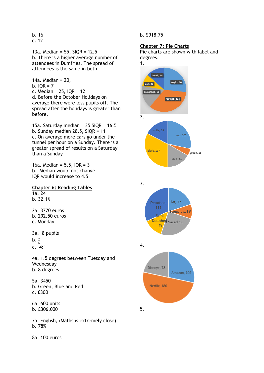b. 16 c. 12

13a. Median = 55, SIQR = 12.5 b. There is a higher average number of attendees in Dumfries. The spread of attendees is the same in both.

14a. Median = 20, b.  $IOR = 7$ c. Median =  $25$ , IQR =  $12$ d. Before the October Holidays on average there were less pupils off. The spread after the holidays is greater than before.

15a. Saturday median =  $35$  SIQR =  $16.5$ b. Sunday median 28.5, SIQR = 11 c. On average more cars go under the tunnel per hour on a Sunday. There is a greater spread of results on a Saturday than a Sunday

16a. Median =  $5.5$ , IQR =  $3$ b. Median would not change IQR would increase to 4.5

**Chapter 6: Reading Tables** 1a. 24 b. 32.1%

2a. 3770 euros b. 292.50 euros c. Monday

3a. 8 pupils  $b. \frac{1}{5}$ c. 4:1

4a. 1.5 degrees between Tuesday and Wednesday b. 8 degrees

5a. 3450 b. Green, Blue and Red c. £300

6a. 600 units b. £306,000

7a. English, (Maths is extremely close) b. 78%

8a. 100 euros

b. \$918.75

#### **Chapter 7: Pie Charts**

Pie charts are shown with label and degrees.

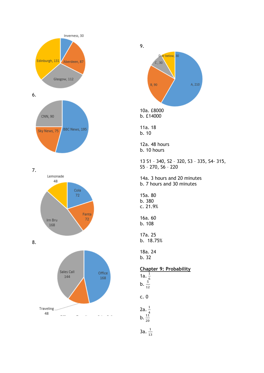







 $3a. \frac{1}{13}$